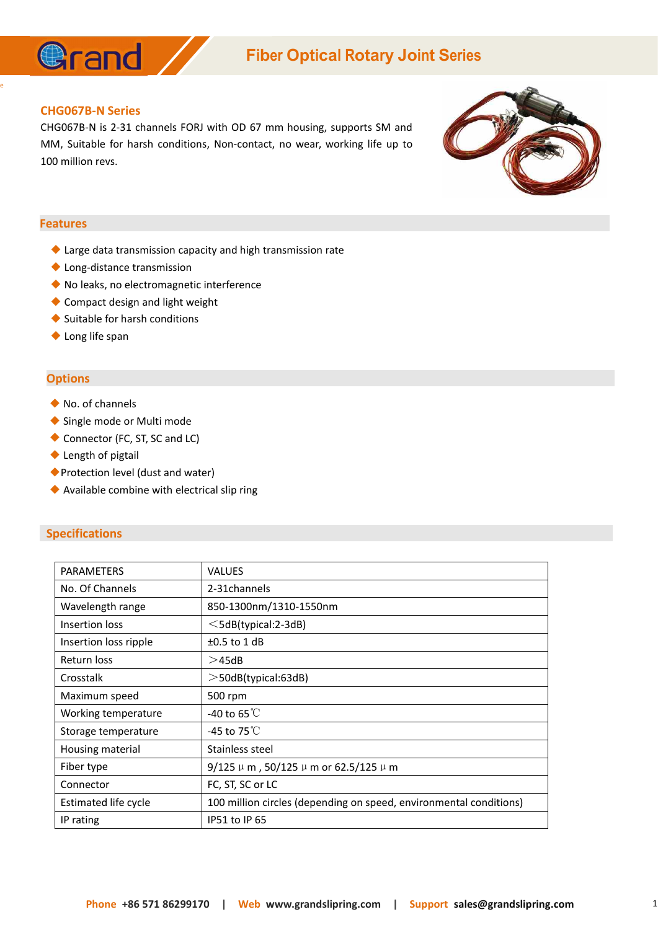

## **Fiber Optical Rotary Joint Series**

#### **CHG067B-N Series**

**@rand** 

CHG067B-N is 2-31 channels FORJ with OD 67 mm housing, supports SM and MM, Suitable for harsh conditions, Non-contact, no wear, working life up to 100 million revs.

#### **Features**

e and the state of the state of the state of the state of the state of the state of the state of the state of the state of the state of the state of the state of the state of the state of the state of the state of the stat

- ◆ Large data transmission capacity and high transmission rate
- ◆ Long-distance transmission
- ◆ No leaks, no electromagnetic interference
- ◆ Compact design and light weight
- ◆ Suitable for harsh conditions
- ◆ Long life span

#### **Options**

- ◆ No. of channels
- ◆ Single mode or Multi mode
- ◆ Connector (FC, ST, SC and LC)
- ◆ Length of pigtail
- ◆Protection level (dust and water)
- ◆ Available combine with electrical slip ring

#### **Specifications**

| <b>PARAMETERS</b>     | <b>VALUES</b>                                                      |
|-----------------------|--------------------------------------------------------------------|
| No. Of Channels       | 2-31 channels                                                      |
| Wavelength range      | 850-1300nm/1310-1550nm                                             |
| Insertion loss        | $\leq$ 5dB(typical:2-3dB)                                          |
| Insertion loss ripple | $\pm 0.5$ to 1 dB                                                  |
| Return loss           | >45dB                                                              |
| Crosstalk             | $>$ 50dB(typical:63dB)                                             |
| Maximum speed         | 500 rpm                                                            |
| Working temperature   | -40 to 65 $\degree$ C                                              |
| Storage temperature   | -45 to 75 $\degree$ C                                              |
| Housing material      | Stainless steel                                                    |
| Fiber type            | $9/125 \mu$ m, 50/125 $\mu$ m or 62.5/125 $\mu$ m                  |
| Connector             | FC, ST, SC or LC                                                   |
| Estimated life cycle  | 100 million circles (depending on speed, environmental conditions) |
| IP rating             | IP51 to IP 65                                                      |